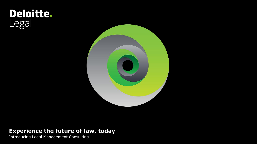# **Deloitte.**<br>Legal



# **Experience the future of law, today**

Introducing Legal Management Consulting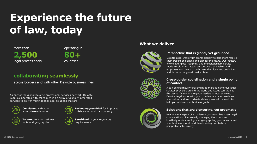# **Experience the future of law, today**

More than 2,500 legal professionals operating in

countries

### collaborating seamlessly

across borders and with other Deloitte business lines

As part of the global Deloitte professional services network, Deloitte Legal collaborates with colleagues in an array of globally integrated services to deliver multinational legal solutions that are:



**Consistent** with your enterprise-wide vision



 $\Box$ 00

**Tailored** to your business units and geographies



**Technology-enabled** for improved collaboration and transparency



#### **What we deliver**



#### **Perspective that is global, yet grounded**

Deloitte Legal works with clients globally to help them resolve their present challenges and plan for the future. Our industry knowledge, global footprint, and multidisciplinary service model result in a strategic perspective that enables and empowers our clients to both meet their local responsibilities and thrive in the global marketplace.



#### **Cross-border coordination and a single point of contact**

It can be enormously challenging to manage numerous legal services providers around the world and issues can slip into the cracks. As one of the global leaders in legal services, Deloitte Legal works with you to understand your needs and your vision, and to coordinate delivery around the world to help you achieve your business goals.

#### **Solutions that are pioneering, yet pragmatic**

Nearly every aspect of a modern organization has major legal considerations. Successfully managing them requires intuitively understanding your geographies, your industry and your business model, and then knowing how to turn perspective into strategy.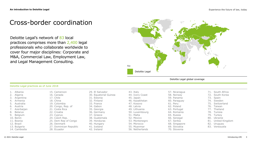# Cross-border coordination

Deloitte Legal's network of 83 local practices comprises more than 2,400 legal professionals who collaborate worldwide to cover four major disciplines: Corporate and M&A, Commercial Law, Employment Law, and Legal Management Consulting.



Deloitte Legal global coverage

| 1. Albania    | 15. Cameroon           | 29. El Salvador       | 43. Italy       | 57. Nicaragua | 71. South Africa   |
|---------------|------------------------|-----------------------|-----------------|---------------|--------------------|
| 2. Algeria    | 16. Canada             | 30. Equatorial Guinea | 44. Ivory Coast | 58. Norway    | 72. South Korea    |
| 3. Argentina  | 17. Chile              | 31. Estonia           | 45. Japan       | 59. Panama    | 73. Spain          |
| 4. Armenia    | 18. China              | 32. Finland           | 46. Kazakhstan  | 60. Paraguay  | 74. Sweden         |
| 5. Australia  | 19. Colombia           | 33. France            | 47. Kosovo      | 61. Peru      | 75. Switzerland    |
| 6. Austria    | 20. Congo, Rep. of     | 34. Gabon             | 48. Latvia      | 62. Poland    | 76. Taiwan         |
| 7. Azerbaijan | 21. Costa Rica         | 35. Georgia           | 49. Lithuania   | 63. Portugal  | 77. Thailand       |
| 8. Belarus    | 22. Croatia            | 36. Germany           | 50. Luxembourg  | 64. Romania   | 78. Tunisia        |
| 9. Belgium    | 23. Cyprus             | 37. Greece            | 51. Malta       | 65. Russia    | 79. Turkey         |
| 10. Benin     | 24. Czech Rep.         | 38. Guatemala         | 52. Mexico      | 66. Senegal   | 80. Ukraine        |
| 11. Bosnia    | 25. Dem Rep of Congo   | 39. Honduras          | 53. Montenegro  | 67. Serbia    | 81. United Kingdom |
| 12. Brazil    | 26. Denmark            | 40. Hungary           | 54. Morocco     | 68. Singapore | 82. Uruguay        |
| 13. Bulgaria  | 27. Dominican Republic | 41. Iceland           | 55. Mvanmar     | 69. Slovakia  | 83. Venezuela      |
| 14. Cambodia  | 28. Ecuador            | 42. Ireland           | 56. Netherlands | 70. Slovenia  |                    |
|               |                        |                       |                 |               |                    |

#### Deloitte Legal practices as of June 2018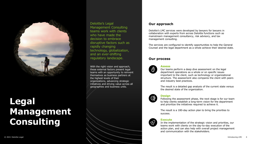

# **Legal Management Consulting**

Deloitte's Legal Management Consulting teams work with clients who have made the decision to embrace disruptive factors such as rapidly changing technology, globalization, and an ever-shifting regulatory landscape.

With the right vision and approach, these external factors present legal teams with an opportunity to reinvent themselves as business partners at the highest levels of their organizations, advancing strategic initiatives and driving value across all geographies and business units.

#### **Our approach**

Deloitte's LMC services were developed by lawyers for lawyers in collaboration with experts from across Deloitte functions such as mainstream management consultancy, risk advisory, and tax management consulting.

The services are configured to identify opportunities to help the General Counsel and the legal department as a whole achieve their desired state.

#### **Our process**



 $\bigoplus$ 

<u>୍ବ</u>

#### **Assess**

Our teams perform a deep dive assessment on the legal department operations as a whole or on specific issues important to the client, such as technology or organizational structure. The assessment also compares the client with peers and industry best practices.

The result is a detailed gap analysis of the current state versus the desired state of the organization.

#### **Design**

Following the assessment phase, the next stage is for our team to help clients establish a long-term vision for the department and prioritize the initiatives required to achieve it.

The result is a 180-day action plan to bring the priorities to success.

#### **Execute**

In the implementation of the strategic vision and priorities, our teams work with clients on the day-to-day execution of the action plan, and can also help with overall project management and communication with the stakeholders.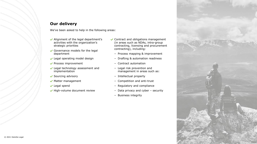#### **Our delivery**

We've been asked to help in the following areas:

- ◆ Alignment of the legal department's activities with the organization's strategic priorities
- Governance models for the legal department
- Legal operating model design
- ◆ Process improvement
- Legal technology assessment and implementation
- $\checkmark$  Sourcing advisory
- $\blacktriangleright$  Matter management
- $\vee$  Legal spend
- $\blacktriangleright$  High-volume document review
- **◆ Contract and obligations management** (in areas such as NDAs, intra-group contracting, licensing and procurement contracting), including:
	- Process mapping & improvement
	- Drafting & automation readiness
	- Contract automation
	- Legal risk prevention and management in areas such as:
	- Intellectual property
	- Competition and anti-trust
	- Regulatory and compliance
	- Data privacy and cyber security
	- Business integrity

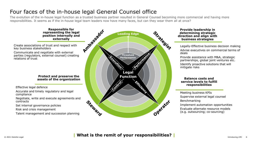# Four faces of the in-house legal General Counsel office

The evolution of the in-house legal function as a trusted business partner resulted in General Counsel becoming more commercial and having more responsibilities. It seems as if the in-house legal team leaders now have many faces, but can they wear them all at once?



### © 2021 Deloitte Legal Introducing LMC 6 **| What is the remit of your responsibilities? |**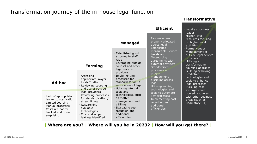### Transformation journey of the in-house legal function

|                                                                                                                                                     |                                                                                                                                                                                                                                                                                | <b>Managed</b>                                                                                                                                                                                                                                                                                                                                                                        | <b>Efficient</b><br>• Resources are<br>properly allocated<br>across legal<br>• Established<br>measurable Service<br>Levels and<br>Outsourcing<br>agreements with<br>external providers<br>• Standardised<br>processes and<br>program<br>management<br>discipline across<br>legal<br>• Utilising leading<br>technologies and<br>tools to automate<br>key processes<br>• Implementing cost<br>reduction and<br>additional<br>efficiencies | • Legal as business<br>leader<br>• Higher level<br>resources focusing<br>on higher level<br>activities.<br>• Formal vendor<br>management of<br>outside legal service<br>providers<br>• Utilising a<br>transformative<br>sourcing approach<br>• Building or buying<br>predictive<br>technologies and<br>tools to enhance<br>legal processes<br>• Pursuing cost<br>synergies and<br>pooled resources<br>with other business<br>areas (such as<br>Regulatory, IT) |
|-----------------------------------------------------------------------------------------------------------------------------------------------------|--------------------------------------------------------------------------------------------------------------------------------------------------------------------------------------------------------------------------------------------------------------------------------|---------------------------------------------------------------------------------------------------------------------------------------------------------------------------------------------------------------------------------------------------------------------------------------------------------------------------------------------------------------------------------------|-----------------------------------------------------------------------------------------------------------------------------------------------------------------------------------------------------------------------------------------------------------------------------------------------------------------------------------------------------------------------------------------------------------------------------------------|----------------------------------------------------------------------------------------------------------------------------------------------------------------------------------------------------------------------------------------------------------------------------------------------------------------------------------------------------------------------------------------------------------------------------------------------------------------|
|                                                                                                                                                     | <b>Forming</b>                                                                                                                                                                                                                                                                 | • Established good<br>attorney to staff<br>ratio<br>• Leveraging outside<br>counsel and other<br>legal service<br>providers<br>• Implementing<br>processes for<br>standardisation in<br>some areas of legal<br>• Utilising internal<br>tools and<br>technologies, such<br>as matter<br>management and<br>eBilling<br>• Evaluating cost<br>reduction and<br>additional<br>efficiencies |                                                                                                                                                                                                                                                                                                                                                                                                                                         |                                                                                                                                                                                                                                                                                                                                                                                                                                                                |
| Ad-hoc                                                                                                                                              | • Assessing<br>appropriate lawyer<br>to staff ratio<br>• Reviewing sourcing<br>and use of outside<br>legal providers<br>• Reviewing processes<br>for standardisation /<br>streamlining<br>• Researching<br>available<br>technologies<br>• Cost and scope<br>leakage identified |                                                                                                                                                                                                                                                                                                                                                                                       |                                                                                                                                                                                                                                                                                                                                                                                                                                         |                                                                                                                                                                                                                                                                                                                                                                                                                                                                |
| • Lack of appropriate<br>lawyer to staff ratio<br>• Limited sourcing<br>• Manual processes<br>• Costs are poorly<br>tracked and often<br>surprising |                                                                                                                                                                                                                                                                                |                                                                                                                                                                                                                                                                                                                                                                                       |                                                                                                                                                                                                                                                                                                                                                                                                                                         |                                                                                                                                                                                                                                                                                                                                                                                                                                                                |

**Transformative**

**| Where are you? | Where will you be in 2023? | How will you get there? |**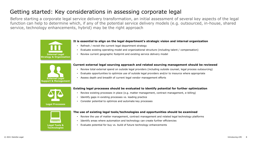# Getting started: Key considerations in assessing corporate legal

Before starting a corporate legal service delivery transformation, an initial assessment of several key aspects of the legal function can help to determine which, if any of the potential service delivery models (e.g. outsourced, in-house, shared service, technology enhancements, hybrid) may be the right approach



#### **It is essential to align on the legal department's strategic vision and internal organization**

- Refresh / revisit the current legal department strategy
- Evaluate existing operating model and organizational structure (including talent / compensation)
- Review current geographic footprint and existing service delivery model



#### **Current external legal sourcing approach and related sourcing management should be reviewed**

- Review total external spend on outside legal providers (including outside counsel, legal process outsourcing)
- Evaluate opportunities to optimize use of outside legal providers and/or to insource where appropriate
- Assess depth and breadth of current legal vendor management efforts



#### **Existing legal processes should be evaluated to identify potential for further optimization**

- Review existing processes in place (e.g. matter management, contract management, e-billing)
- Identify gaps in existing processes vs. leading practice
- Consider potential to optimize and automate key processes



#### **The use of existing legal tools/technologies and opportunities should be examined**

- Review the use of matter management, contract management and related legal technology platforms
- Identify areas where automation and technology can create further efficiencies
- **Legal Tools &**  Evaluate potential for buy vs. build of future technology enhancements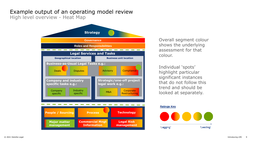# Example output of an operating model review

High level overview - Heat Map



shows the underlying assessment for that colour.

Individual 'spots' highlight particular significant instances that do not follow this trend and should be looked at separately.

#### **Ratings Key**

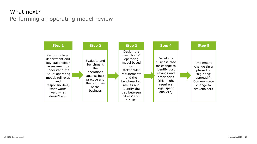# What next? Performing an operating model review

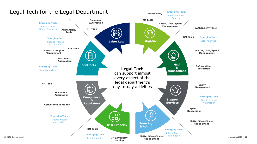